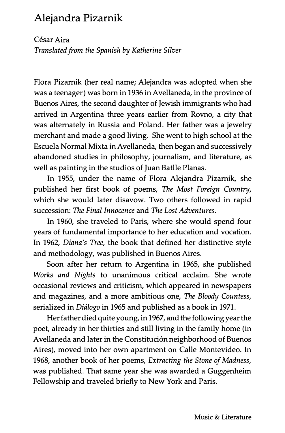## Alejandra Pizarnik

César Aira Translated from the Spanish by Katherine Silver

Flora Pizarnik (her real name; Alejandra was adopted when she was a teenager) was born in 1936 in Avellaneda, in the province of Buenos Aires, the second daughter of Jewish immigrants who had arrived in Argentina three years earlier from Rovno, a city that was alternately in Russia and Poland. Her father was a jewelry merchant and made a good living. She went to high school at the Escuela Normal Mixta in Avellaneda, then began and successively abandoned studies in philosophy, journalism, and literature, as well as painting in the studios of Juan Batlle Planas.

In 1955, under the name of Flora Alejandra Pizarnik, she published her first book of poems, The Most Foreign Country, which she would later disavow. Two others followed in rapid succession: The Final Innocence and The Lost Adventures.

In 1960, she traveled to Paris, where she would spend four years of fundamental importance to her education and vocation. In 1962, Diana's Tree, the book that defined her distinctive style and methodology, was published in Buenos Aires.

Soon after her return to Argentina in 1965, she published Works and Nights to unanimous critical acclaim. She wrote occasional reviews and criticism, which appeared in newspapers and magazines, and a more ambitious one, The Bloody Countess, serialized in Diálogo in 1965 and published as a book in 1971.

Her father died quite young, in 1967, and the following year the poet, already in her thirties and still living in the family home (in Avellaneda and later in the Constitución neighborhood of Buenos Aires), moved into her own apartment on Calle Montevideo. In 1968, another book of her poems, Extracting the Stone of Madness, was published. That same year she was awarded a Guggenheim Fellowship and traveled briefly to New York and Paris.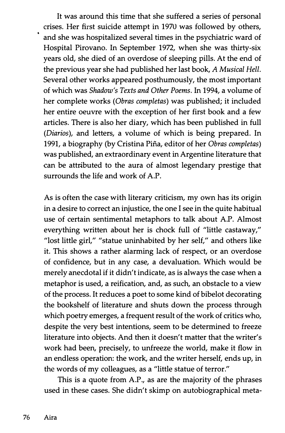It was around this time that she suffered a series of personal crises. Her first suicide attempt in 1970 was followed by others, and she was hospitalized several times in the psychiatric ward of Hospital Pirovano. In September 1972, when she was thirty-six years old, she died of an overdose of sleeping pills. At the end of the previous year she had published her last book, A Musical Hell. Several other works appeared posthumously, the most important of which was Shadow's Texts and Other Poems. In 1994, a volume of her complete works (Obras completas) was published; it included her entire oeuvre with the exception of her first book and a few articles. There is also her diary, which has been published in full (Diarios), and letters, a volume of which is being prepared. In 1991, a biography (by Cristina Pifia, editor of her Obras completas) was published, an extraordinary event in Argentine literature that can be attributed to the aura of almost legendary prestige that surrounds the life and work of A.P.

As is often the case with literary criticism, my own has its origin in a desire to correct an injustice, the one I see in the quite habitual use of certain sentimental metaphors to talk about A.P. Almost everything written about her is chock full of "little castaway," "lost little girl," "statue uninhabited by her self," and others like it. This shows a rather alarming lack of respect, or an overdose of confidence, but in any case, a devaluation. Which would be merely anecdotal if it didn't indicate, as is always the case when a metaphor is used, a reification, and, as such, an obstacle to a view of the process. It reduces a poet to some kind of bibelot decorating the bookshelf of literature and shuts down the process through which poetry emerges, a frequent result of the work of critics who, despite the very best intentions, seem to be determined to freeze literature into objects. And then it doesn't matter that the writer's work had been, precisely, to unfreeze the world, make it flow in an endless operation: the work, and the writer herself, ends up, in the words of my colleagues, as a "little statue of terror."

This is a quote from A.P., as are the majority of the phrases used in these cases. She didn't skimp on autobiographical meta-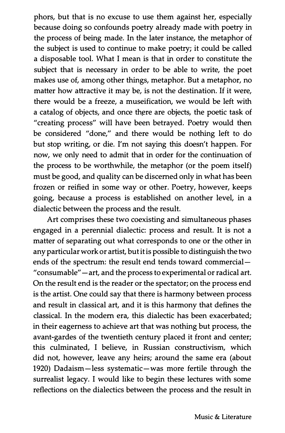phors, but that is no excuse to use them against her, especially because doing so confounds poetry already made with poetry in the process of being made. In the later instance, the metaphor of the subject is used to continue to make poetry; it could be called a disposable tool. What I mean is that in order to constitute the subject that is necessary in order to be able to write, the poet makes use of, among other things, metaphor. But a metaphor, no matter how attractive it may be, is not the destination. If it were, there would be a freeze, a museification, we would be left with a catalog of objects, and once there are objects, the poetic task of "creating process" will have been betrayed. Poetry would then be considered "done," and there would be nothing left to do but stop writing, or die. I'm not saying this doesn't happen. For now, we only need to admit that in order for the continuation of the process to be worthwhile, the metaphor (or the poem itself) must be good, and quality can be discerned only in what has been frozen or reified in some way or other. Poetry, however, keeps going, because a process is established on another level, in a dialectic between the process and the result.

Art comprises these two coexisting and simultaneous phases engaged in a perennial dialectic: process and result. It is not a matter of separating out what corresponds to one or the other in any particular work or artist, but it is possible to distinguish the two ends of the spectrum: the result end tends toward commercial " consumable" - art, and the process to experimental or radical art. On the result end is the reader or the spectator; on the process end is the artist. One could say that there is harmony between process and result in classical art, and it is this harmony that defines the classical. In the modem era, this dialectic has been exacerbated; in their eagerness to achieve art that was nothing but process, the avant-gardes of the twentieth century placed it front and center; this culminated, I believe, in Russian constructivism, which did not, however, leave any heirs; around the same era (about 1920) Dadaism-less systematic-was more fertile through the surrealist legacy. I would like to begin these lectures with some reflections on the dialectics between the process and the result in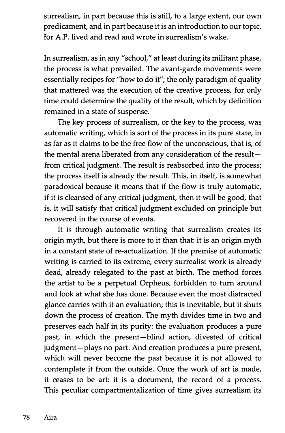surrealism, in part because this is still, to a large extent, our own predicament, and in part because it is an introduction to our topic, for A.P. lived and read and wrote in surrealism's wake.

In surrealism, as in any "school," at least during its militant phase, the process is what prevailed. The avant-garde movements were essentially recipes for "how to do it"; the only paradigm of quality that mattered was the execution of the creative process, for only time could determine the quality of the result, which by definition remained in a state of suspense.

The key process of surrealism, or the key to the process, was automatic writing, which is sort of the process in its pure state, in as far as it claims to be the free flow of the unconscious, that is, of the mental arena liberated from any consideration of the result $$ from critical judgment. The result is reabsorbed into the process; the process itself is already the result. This, in itself, is somewhat paradoxical because it means that if the flow is truly automatic, if it is cleansed of any critical judgment, then it will be good, that is, it will satisfy that critical judgment excluded on principle but recovered in the course of events.

It is through automatic writing that surrealism creates its origin myth, but there is more to it than that: it is an origin myth in a constant state of re-actualization. If the premise of automatic writing is carried to its extreme, every surrealist work is already dead, already relegated to the past at birth. The method forces the artist to be a perpetual Orpheus, forbidden to turn around and look at what she has done. Because even the most distracted glance carries with it an evaluation; this is inevitable, but it shuts down the process of creation. The myth divides time in two and preserves each half in its purity: the evaluation produces a pure past, in which the present-blind action, divested of critical judgment-plays no part. And creation produces a pure present, which will never become the past because it is not allowed to contemplate it from the outside. Once the work of art is made, it ceases to be art: it is a document, the record of a process. This peculiar compartmentalization of time gives surrealism its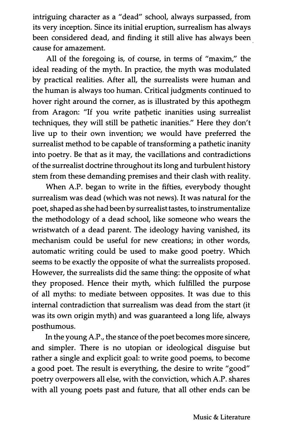intriguing character as a "dead" school, always surpassed, from its very inception. Since its initial eruption, surrealism has always been considered dead, and finding it still alive has always been . cause for amazement.

All of the foregoing is, of course, in terms of "maxim," the ideal reading of the myth. In practice, the myth was modulated by practical realities. After all, the surrealists were human and the human is always too human. Critical judgments continued to hover right around the corner, as is illustrated by this apothegm from Aragon: "If you write pathetic inanities using surrealist techniques, they will still be pathetic inanities." Here they don't live up to their own invention; we would have preferred the surrealist method to be capable of transforming a pathetic inanity into poetry. Be that as it may, the vacillations and contradictions of the surrealist doctrine throughout its long and turbulent history stem from these demanding premises and their clash with reality.

When A.P. began to write in the fifties, everybody thought surrealism was dead (which was not news). It was natural for the poet, shaped as she had been by surrealist tastes, to instrurnentalize the methodology of a dead school, like someone who wears the wristwatch of a dead parent. The ideology having vanished, its mechanism could be useful for new creations; in other words, automatic writing could be used to make good poetry. Which seems to be exactly the opposite of what the surrealists proposed. However, the surrealists did the same thing: the opposite of what they proposed. Hence their myth, which fulfilled the purpose of all myths: to mediate between opposites. It was due to this internal contradiction that surrealism was dead from the start (it was its own origin myth) and was guaranteed a long life, always posthumous.

In the young A.P ., the stance of the poet becomes more sincere, and simpler. There is no utopian or ideological disguise but rather a single and explicit goal: to write good poems, to become a good poet. The result is everything, the desire to write "good" poetry overpowers all else, with the conviction, which A.P. shares with all young poets past and future, that all other ends can be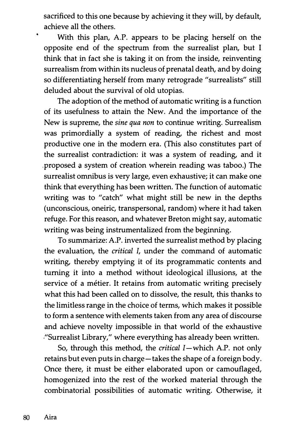sacrificed to this one because by achieving it they will, by default, achieve all the others.

With this plan, A.P. appears to be placing herself on the opposite end of the spectrum from the surrealist plan, but I think that in fact she is taking it on from the inside, reinventing surrealism from within its nucleus of prenatal death, and by doing so differentiating herself from many retrograde "surrealists" still deluded about the survival of old utopias.

The adoption of the method of automatic writing is a function of its usefulness to attain the New. And the importance of the New is supreme, the sine qua non to continue writing. Surrealism was primordially a system of reading, the richest and most productive one in the modern era. (This also constitutes part of the surrealist contradiction: it was a system of reading, and it .proposed a system of creation wherein reading was taboo.) The surrealist omnibus is very large, even exhaustive; it can make one think that everything has been written. The function of automatic writing was to "catch" what might still be new in the depths (unconscious, oneiric, transpersonal, random) where it had taken refuge. For this reason, and whatever Breton might say, automatic writing was being instrumentalized from the beginning.

To summarize: A.P. inverted the surrealist method by placing the evaluation, the critical I, under the command of automatic writing, thereby emptying it of its programmatic contents and turning it into a method without ideological illusions, at the service of a métier. It retains from automatic writing precisely what this had been called on to dissolve, the result, this thanks to the limitless range in the choice of terms, which makes it possible to form a sentence with elements taken from any area of discourse and achieve novelty impossible in that world of the exhaustive "Surrealist Library," where everything has already been written.

So, through this method, the critical I-which A.P. not only retains but even puts in charge - takes the shape of a foreign body. Once there, it must be either elaborated upon or camouflaged, homogenized into the rest of the worked material through the combinatorial possibilities of automatic writing. Otherwise, it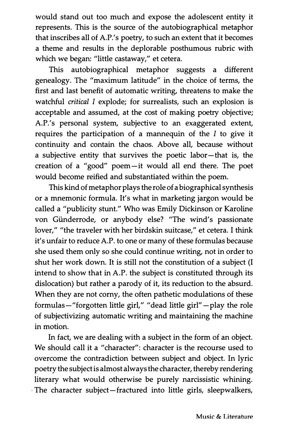would stand out too much and expose the adolescent entity it represents. This is the source of the autobiographical metaphor that inscribes all of A.P.'s poetry, to such an extent that it becomes a theme and results in the deplorable posthumous rubric with which we began: "little castaway," et cetera.

This autobiographical metaphor suggests a different genealogy. The "maximum latitude" in the choice of terms, the first and last benefit of automatic writing, threatens to make the watchful critical I explode; for surrealists, such an explosion is acceptable and assumed, at the cost of making poetry objective; A.P.'s personal system, subjective to an exaggerated extent, requires the participation of a mannequin of the  $I$  to give it continuity and contain the chaos. Above all, because without a subjective entity that survives the poetic labor-that is, the creation of a "good" poem-it would all end there. The poet would become reified and substantiated within the poem.

This kind of metaphor plays the role of a biographical synthesis or a mnemonic formula. It's what in marketing jargon would be called a "publicity stunt." Who was Emily Dickinson or Karoline von Giinderrode, or anybody else? "The wind's passionate lover," "the traveler with her birdskin suitcase," et cetera. I think it's unfair to reduce A.P. to one or many of these formulas because she used them only so she could continue writing, not in order to shut her work down. It is still not the constitution of a subject (I intend to show that in A.P. the subject is constituted through its dislocation) but rather a parody of it, its reduction to the absurd. When they are not corny, the often pathetic modulations of these formulas-"forgotten little girl," "dead little girl" - play the role of subjectivizing automatic writing and maintaining the machine in motion.

In fact, we are dealing with a subject in the form of an object. We should call it a "character": character is the recourse used to overcome the contradiction between subject and object. In lyric poetry the subject is almost always the character, thereby rendering literary what would otherwise be purely narcissistic whining. The character subject-fractured into little girls, sleepwalkers,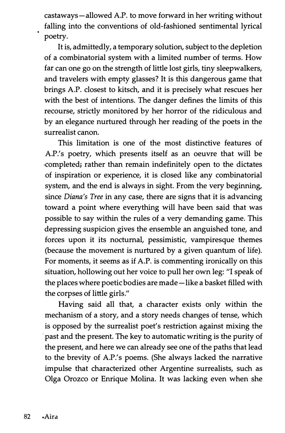castaways-allowed A.P. to move forward in her writing without falling into the conventions of old-fashioned sentimental lyrical poetry.

It is, admittedly, a temporary solution, subject to the depletion of a combinatorial system with a limited number of terms. How far can one go on the strength of little lost girls, tiny sleepwalkers, and travelers with empty glasses? It is this dangerous game that brings A.P. closest to kitsch, and it is precisely what rescues her with the best of intentions. The danger defines the limits of this recourse, strictly monitored by her horror of the ridiculous and by an elegance nurtured through her reading of the poets in the surrealist canon.

This limitation is one of the most distinctive features of A.P.'s poetry, which presents itself as an oeuvre that will be completed; rather than remain indefinitely open to the dictates of inspiration or experience, it is closed like any combinatorial system, and the end is always in sight. From the very beginning, since Diana's Tree in any case, there are signs that it is advancing toward a point where everything will have been said that was possible to say within the rules of a very demanding game. This depressing suspicion gives the ensemble an anguished tone, and forces upon it its nocturnal, pessimistic, vampiresque themes (because the movement is nurtured by a given quantum of life). For moments, it seems as if A.P. is commenting ironically on this situation, hollowing out her voice to pull her own leg: "I speak of the places where poetic bodies are made-like a basket filled with the corpses of little girls."

Having said all that, a character exists only within the mechanism of a story, and a story needs changes of tense, which is opposed by the surrealist poet's restriction against mixing the past and the present. The key to automatic writing is the purity of the present, and here we can already see one of the paths that lead to the brevity of A.P.'s poems. (She always lacked the narrative impulse that characterized other Argentine surrealists, such as Olga Orozco or Enrique Molina. It was lacking even when she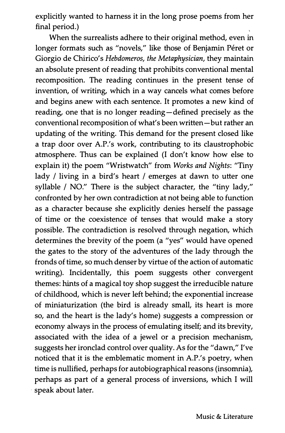explicitly wanted to harness it in the long prose poems from her final period.)

When the surrealists adhere to their original method, even in longer formats such as "novels," like those of Benjamin Péret or Giorgio de Chirico's Hebdomeros, the Metaphysician, they maintain an absolute present of reading that prohibits conventional mental recomposition. The reading continues in the present tense of invention, of writing, which in a way cancels what comes before and begins anew with each sentence. It promotes a new kind of reading, one that is no longer reading-defined precisely as the conventional recomposition of what's been written-but rather an updating of the writing. This demand for the present closed like a trap door over A.P.'s work, contributing to its claustrophobic atmosphere. Thus can be explained (I don't know how else to explain it) the poem "Wristwatch" from Works and Nights: "Tiny lady / living in a bird's heart / emerges at dawn to utter one syllable / NO." There is the subject character, the "tiny lady," confronted by her own contradiction at not being able to function as a character because she explicitly denies herself the passage of time or the coexistence of tenses that would make a story possible. The contradiction is resolved through negation, which determines the brevity of the poem (a "yes" would have opened the gates to the story of the adventures of the lady through the fronds of time, so much denser by virtue of the action of automatic writing). Incidentally, this poem suggests other convergent themes: hints of a magical toy shop suggest the irreducible nature of childhood, which is never left behind; the exponential increase of miniaturization (the bird is already small, its heart is more so, and the heart is the lady's home) suggests a compression or economy always in the process of emulating itself; and its brevity, associated with the idea of a jewel or a precision mechanism, suggests her ironclad control over quality. As for the "dawn," I've noticed that it is the emblematic moment in A.P.'s poetry, when time is nullified, perhaps for autobiographical reasons (insomnia), perhaps as part of a general process of inversions, which I will speak about later.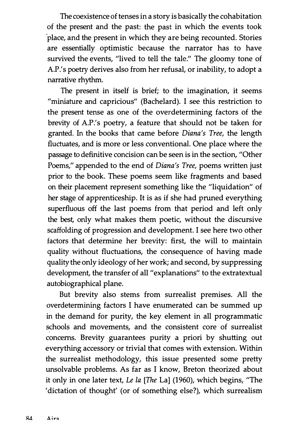The coexistence of tenses in a story is basically the cohabitation of the present and the past: the past in which the events took 'place, and the present in which they are being recounted. Stories are essentially optimistic because the narrator has to have survived the events, "lived to tell the tale." The gloomy tone of A.P.'s poetry derives also from her refusal, or inability, to adopt a narrative rhythm.

The present in itself is brief; to the imagination, it seems "miniature and capricious" (Bachelard). I see this restriction to the present tense as one of the overdetermining factors of the brevity of A.P.'s poetry, a feature that should not be taken for granted. In the books that came before Diana's Tree, the length fluctuates, and is more or less conventional. One place where the passage to definitive concision can be seen is in the section, "Other Poems," appended to the end of Diana's Tree, poems written just prior to the book. These poems seem like fragments and based on their placement represent something like the "liquidation" of her stage of apprenticeship. It is as if she had pruned everything superfluous off the last poems from that period and left only the best, only what makes them poetic, without the discursive scaffolding of progression and development. I see here two other factors that determine her brevity: first, the will to maintain quality without fluctuations, the consequence of having made quality the only ideology of her work; and second, by suppressing development, the transfer of all "explanations" to the extratextual autobiographical plane.

But brevity also stems from surrealist premises. All the overdetermining factors I have enumerated can be summed up in the demand for purity, the key element in all programmatic schools and movements, and the consistent core of surrealist concerns. Brevity guarantees purity a priori by shutting out everything accessory or trivial that comes with extension. Within the surrealist methodology, this issue presented some pretty unsolvable problems. As far as I know, Breton theorized about it only in one later text, Le la [The La] (1960), which begins, "The 'dictation of thought' (or of something else?), which surrealism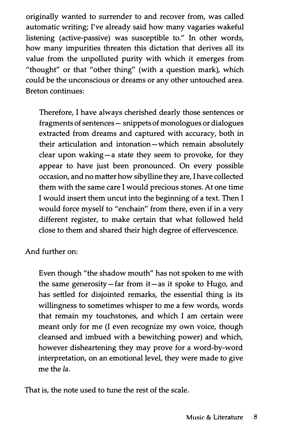originally wanted to surrender to and recover from, was called automatic writing; I've already said how many vagaries wakeful listening (active-passive) was susceptible to." In other words, how many impurities threaten this dictation that derives all its value from the unpolluted purity with which it emerges from "thought" or that "other thing" (with a question mark), which could be the unconscious or dreams or any other untouched area. Breton continues:

Therefore, I have always cherished dearly those sentences or fragments of sentences - snippets of monologues or dialogues extracted from dreams and captured with accuracy, both in their articulation and intonation-which remain absolutely clear upon waking-a state they seem to provoke, for they appear to have just been pronounced. On every possible occasion, and no matter how sibylline they are, I have collected them with the same care I would precious stones. At one time I would insert them uncut into the beginning of a text. Then I would force myself to "enchain" from there, even if in a very different register, to make certain that what followed held close to them and shared their high degree of effervescence.

And further on:

Even though "the shadow mouth" has not spoken to me with the same generosity-far from  $it-$ as it spoke to Hugo, and has settled for disjointed remarks, the essential thing is its willingness to sometimes whisper to me a few words, words that remain my touchstones, and which I am certain were meant only for me (I even recognize my own voice, though cleansed and imbued with a bewitching power) and which, however disheartening they may prove for a word-by-word interpretation, on an emotional level, they were made to give me the la.

That is, the note used to tune the rest of the scale.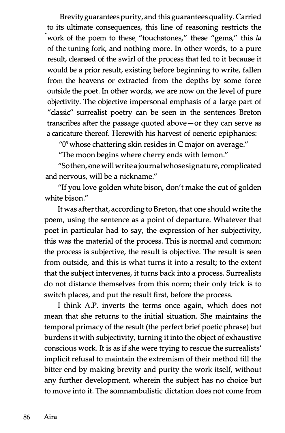Brevity guarantees purity, and this guarantees quality. Carried work of the poem to these "touchstones," these "gems," this la to its ultimate consequences, this line of reasoning restricts the of the tuning fork, and nothing more. In other words, to a pure result, cleansed of the swirl of the process that led to it because it would be a prior result, existing before beginning to write, fallen from the heavens or extracted from the depths by some force outside the poet. In other words, we are now on the level of pure objectivity. The objective impersonal emphasis of a large part of "classic" surrealist poetry can be seen in the sentences Breton transcribes after the passage quoted above-or they can serve as a caricature thereof. Herewith his harvest of oeneric epiphanies:

 $"0$ <sup>3</sup> whose chattering skin resides in C major on average."

"The moon begins where cherry ends with lemon."

"Sothen, one will write a journal whose signature, complicated and nervous, will be a nickname."

"If you love golden white bison, don't make the cut of golden white bison."

It was after that, according to Breton, that one should write the poem, using the sentence as a point of departure. Whatever that poet in particular had to say, the expression of her subjectivity, this was the material of the process. This is normal and common: the process is subjective, the result is objective. The result is seen from outside, and this is what turns it into a result; to the extent that the subject intervenes, it turns back into a process. Surrealists do not distance themselves from this norm; their only trick is to switch places, and put the result first, before the process.

I think A.P. inverts the terms once again, which does not mean that she returns to the initial situation. She maintains the temporal primacy of the result (the perfect brief poetic phrase) but burdens it with subjectivity, turning it into the object of exhaustive conscious work. It is as if she were trying to rescue the surrealists' implicit refusal to maintain the extremism of their method till the bitter end by making brevity and purity the work itself, without any further development, wherein the subject has no choice but to move into it. The somnambulistic dictation does not come from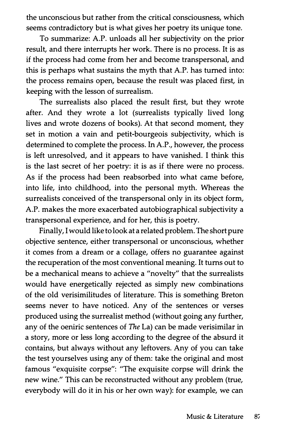the unconscious but rather from the critical consciousness, which seems contradictory but is what gives her poetry its unique tone.

To summarize: A.P. unloads all her subjectivity on the prior result, and there interrupts her work. There is no process. It is as if the process had come from her and become transpersonal, and this is perhaps what sustains the myth that A.P. has turned into: the process remains open, because the result was placed first, in keeping with the lesson of surrealism.

The surrealists also placed the result first, but they wrote after. And they wrote a lot (surrealists typically lived long lives and wrote dozens of books). At that second moment, they set in motion a vain and petit-bourgeois subjectivity, which is determined to complete the process. In A.P., however, the process is left unresolved, and it appears to have vanished. I think this is the last secret of her poetry: it is as if there were no process. As if the process had been reabsorbed into what came before, into life, into childhood, into the personal myth. Whereas the surrealists conceived of the transpersonal only in its object form, A.P. makes the more exacerbated autobiographical subjectivity a transpersonal experience, and for her, this is poetry.

Finally, I would like to look at a related problem. The short pure objective sentence, either transpersonal or unconscious, whether it comes from a dream or a collage, offers no guarantee against the recuperation of the most conventional meaning. It turns out to be a mechanical means to achieve a "novelty" that the surrealists would have energetically rejected as simply new combinations of the old verisimilitudes of literature. This is something Breton seems never to have noticed. Any of the sentences or verses produced using the surrealist method (without going any further, any of the oeniric sentences of The La) can be made verisimilar in a story, more or less long according to the degree of the absurd it contains, but always without any leftovers. Any of you can take the test yourselves using any of them: take the original and most famous "exquisite corpse": "The exquisite corpse will drink the new wine." This can be reconstructed without any problem (true, everybody will do it in his or her own way): for example, we can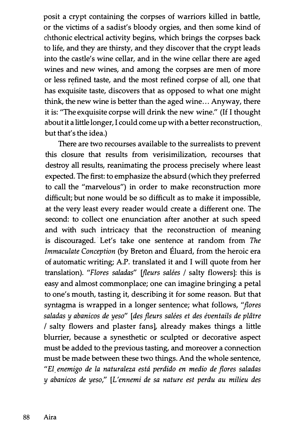posit a crypt containing the corpses of warriors killed in battle, or the victims of a sadist's bloody orgies, and then some kind of chthonic electrical activity begins, which brings the corpses back to life, and they are thirsty, and they discover that the crypt leads into the castle's wine cellar, and in the wine cellar there are aged wines and new wines, and among the corpses are men of more or less refined taste, and the most refined corpse of all, one that has exquisite taste, discovers that as opposed to what one might think, the new wine is better than the aged wine... Anyway, there it is: "The exquisite corpse will drink the new wine." (If I thought about it a little longer, I could come up with a better reconstruction, but that's the idea.)

There are two recourses available to the surrealists to prevent this closure that results from verisimilization, recourses that destroy all results, reanimating the process precisely where least expected. The first: to emphasize the absurd (which they preferred to call the "marvelous") in order to make reconstruction more difficult; but none would be so difficult as to make it impossible, at the very least every reader would create a different one. The second: to collect one enunciation after another at such speed and with such intricacy that the reconstruction of meaning is discouraged. Let's take one sentence at random from The Immaculate Conception (by Breton and Eluard, from the heroic era of automatic writing; A.P. translated it and I will quote from her translation). "Flores saladas" [fleurs salées / salty flowers]: this is easy and almost commonplace; one can imagine bringing a petal to one's mouth, tasting it, describing it for some reason. But that syntagma is wrapped in a longer sentence; what follows, "flores saladas y abanicos de yeso" [des fleurs salées et des éventails de plâtre / salty flowers and plaster fans], already makes things a little blurrier, because a synesthetic or sculpted or decorative aspect must be added to the previous tasting, and moreover a connection must be made between these two things. And the whole sentence, "El enemigo de la naturaleza esta perdido en medio de flores saladas y abanicos de yeso," [L'ennemi de sa nature est perdu au milieu des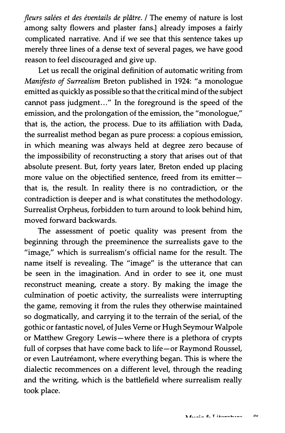fleurs salées et des éventails de plâtre. / The enemy of nature is lost among salty flowers and plaster fans.] already imposes a fairly complicated narrative. And if we see that this sentence takes up merely three lines of a dense text of several pages, we have good reason to feel discouraged and give up.

Let us recall the original definition of automatic writing from Manifesto of Surrealism Breton published in 1924: "a monologue emitted as quickly as possible so that the critical mind of the subject cannot pass judgment..." In the foreground is the speed of the emission, and the prolongation of the emission, the "monologue," that is, the action, the process. Due to its affiliation with Dada, the surrealist method began as pure process: a copious emission, in which meaning was always held at degree zero because of the impossibility of reconstructing a story that arises out of that absolute present. But, forty years later, Breton ended up placing more value on the objectified sentence, freed from its emitterthat is, the result. In reality there is no contradiction, or the contradiction is deeper and is what constitutes the methodology. Surrealist Orpheus, forbidden to turn around to look behind him, moved forward backwards.

The assessment of poetic quality was present from the beginning through the preeminence the surrealists gave to the "image," which is surrealism's official name for the result. The name itself is revealing. The "image" is the utterance that can be seen in the imagination. And in order to see it, one must reconstruct meaning, create a story. By making the image the culmination of poetic activity, the surrealists were interrupting the game, removing it from the rules they otherwise maintained so dogmatically, and carrying it to the terrain of the serial, of the gothic or fantastic novel, of Jules Verne or Hugh Seymour Walpole or Matthew Gregory Lewis-where there is a plethora of crypts full of corpses that have come back to life-or Raymond Roussel, or even Lautréamont, where everything began. This is where the dialectic recommences on a different level, through the reading and the writing, which is the battlefield where surrealism really took place.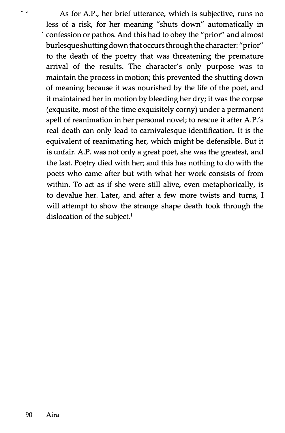As for A.P., her brief utterance, which is subjective, runs no less of a risk, for her meaning "shuts down" automatically in · confession or pathos. And this had to obey the "prior" and almost burlesque shutting down that occurs through the character: "prior" to the death of the poetry that was threatening the premature arrival of the results. The character's only purpose was to maintain the process in motion; this prevented the shutting down of meaning because it was nourished by the life of the poet, and it maintained her in motion by bleeding her dry; it was the corpse (exquisite, most of the time exquisitely corny) under a permanent spell of reanimation in her personal novel; to rescue it after A.P.'s real death can only lead to carnivalesque identification. It is the equivalent of reanimating her, which might be defensible. But it is unfair. A.P. was not only a great poet, she was the greatest, and the last. Poetry died with her; and this has nothing to do with the poets who came after but with what her work consists of from within. To act as if she were still alive, even metaphorically, is to devalue her. Later, and after a few more twists and turns, I will attempt to show the strange shape death took through the dislocation of the subject.<sup>1</sup>

m,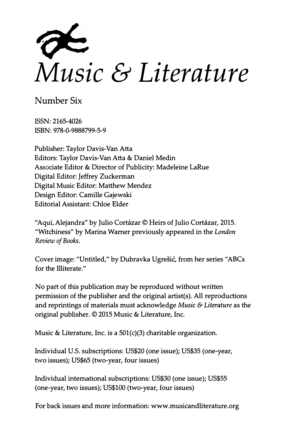

Number Six

ISSN: 2165-4026 ISBN: 978-0-9888799-5-9

Publisher: Taylor Davis-Van Atta Editors: Taylor Davis-Van Atta & Daniel Medin Associate Editor & Director of Publicity: Madeleine LaRue Digital Editor: Jeffrey Zuckerman Digital Music Editor: Matthew Mendez Design Editor: Camille Gajewski Editorial Assistant: Chloe Elder

"Aqui, Alejandra" by Julio Cortázar © Heirs of Julio Cortázar, 2015. "Witchiness" by Marina Warner previously appeared in the London Review of Books.

Cover image: "Untitled," by Dubravka Ugrešić, from her series "ABCs for the Illiterate."

No part of this publication may be reproduced without written permission of the publisher and the original artist(s). All reproductions and reprintings of materials must acknowledge Music  $\Theta$  Literature as the original publisher. © 2015 Music & Literature, Inc.

Music & Literature, Inc. is a 501(c)(3) charitable organization.

Individual U.S. subscriptions: US\$20 (one issue); US\$35 (one-year, two issues); US\$65 (two-year, four issues)

Individual international subscriptions: US\$30 (one issue); US\$55 (one-year, two issues); US\$100 (two-year, four issues)

For back issues and more information: www.musicandliterature.org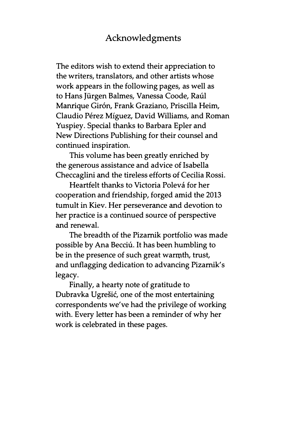## Acknowledgments

The editors wish to extend their appreciation to the writers, translators, and other artists whose work appears in the following pages, as well as to Hans Jürgen Balmes, Vanessa Coode, Raúl Manrique Giron, Frank Graziano, Priscilla Heim, Claudio Pérez Míguez, David Williams, and Roman Yuspiey. Special thanks to Barbara Epler and New Directions Publishing for their counsel and continued inspiration.

This volume has been greatly enriched by the generous assistance and advice of Isabella Checcaglini and the tireless efforts of Cecilia Rossi.

Heartfelt thanks to Victoria Polevá for her cooperation and friendship, forged amid the 2013 tumult in Kiev. Her perseverance and devotion to her practice is a continued source of perspective and renewal.

The breadth of the Pizamik portfolio was made possible by Ana Becciú. It has been humbling to be in the presence of such great warmth, trust, and unflagging dedication to advancing Pizamik's legacy.

Finally, a hearty note of gratitude to Dubravka Ugrešić, one of the most entertaining correspondents we've had the privilege of working with. Every letter has been a reminder of why her work is celebrated in these pages.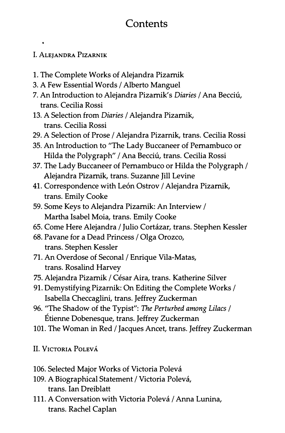## **Contents**

## I. ALEJANDRA PIZARNIK

 $\bullet$ 

- 1. The Complete Works of Alejandra Pizarnik
- 3. A Few Essential Words / Alberto Manguel
- 7. An Introduction to Alejandra Pizarnik's Diaries / Ana Becciú, trans. Cecilia Rossi
- 13. A Selection from Diaries / Alejandra Pizarnik, trans. Cecilia Rossi
- 29. A Selection of Prose / Alejandra Pizarnik, trans. Cecilia Rossi
- 35. An Introduction to "The Lady Buccaneer of Pernambuco or Hilda the Polygraph" / Ana Becciú, trans. Cecilia Rossi
- 37. The Lady Buccaneer of Pernambuco or Hilda the Polygraph / Alejandra Pizarnik, trans. Suzanne Jill Levine
- 41. Correspondence with León Ostrov / Alejandra Pizarnik, trans. Emily Cooke
- 59. Some Keys to Alejandra Pizarnik: An Interview / Martha Isabel Moia, trans. Emily Cooke
- 65. Come Here Alejandra / Julio Cortázar, trans. Stephen Kessler
- 68. Pavane for a Dead Princess / Olga Orozco, trans. Stephen Kessler
- 71. An Overdose of Seconal / Enrique Vila-Matas, trans. Rosalind Harvey
- 75. Alejandra Pizarnik / César Aira, trans. Katherine Silver
- 91. Demystifying Pizarnik: On Editing the Complete Works / Isabella Checcaglini, trans. Jeffrey Zuckerman
- 96. "The Shadow of the Typist": The Perturbed among Lilacs / Etienne Dobenesque, trans. Jeffrey Zuckerman
- 101. The Woman in Red / Jacques Ancet, trans. Jeffrey Zuckerman
- II. VIcTORIA PoLEVA
- 106. Selected Major Works of Victoria Polevá
- 109. A Biographical Statement / Victoria Polevá, trans. Ian Dreiblatt
- 111. A Conversation with Victoria Polevá / Anna Lunina, trans. Rachel Caplan